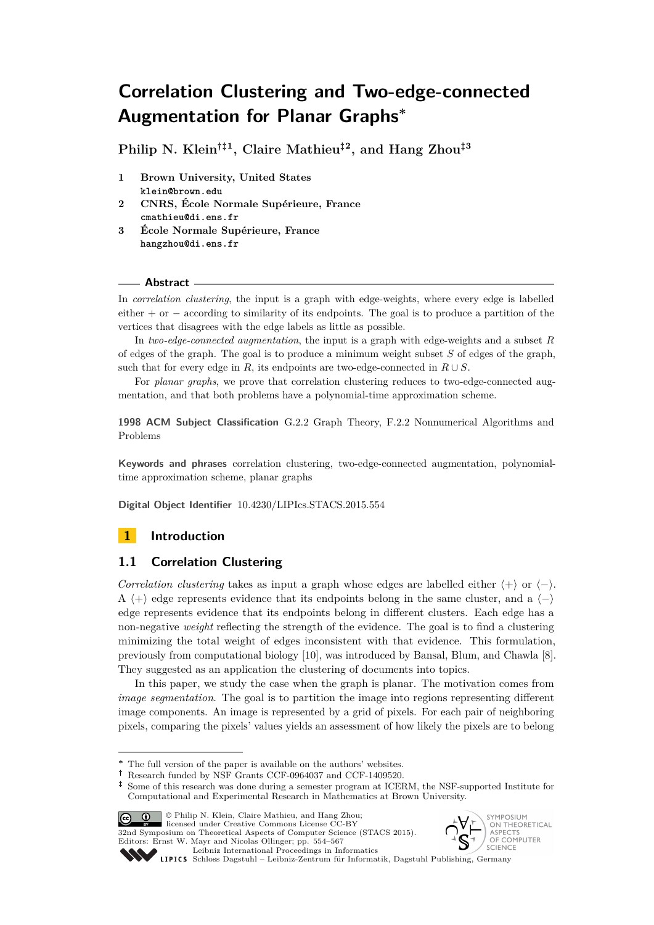**Philip N. Klein†‡<sup>1</sup> , Claire Mathieu‡<sup>2</sup> , and Hang Zhou‡<sup>3</sup>**

- **1 Brown University, United States klein@brown.edu**
- **2 CNRS, École Normale Supérieure, France cmathieu@di.ens.fr**
- **3 École Normale Supérieure, France hangzhou@di.ens.fr**

### **Abstract**

In *correlation clustering*, the input is a graph with edge-weights, where every edge is labelled either + or − according to similarity of its endpoints. The goal is to produce a partition of the vertices that disagrees with the edge labels as little as possible.

In *two-edge-connected augmentation*, the input is a graph with edge-weights and a subset *R* of edges of the graph. The goal is to produce a minimum weight subset *S* of edges of the graph, such that for every edge in *R*, its endpoints are two-edge-connected in  $R \cup S$ .

For *planar graphs*, we prove that correlation clustering reduces to two-edge-connected augmentation, and that both problems have a polynomial-time approximation scheme.

**1998 ACM Subject Classification** G.2.2 Graph Theory, F.2.2 Nonnumerical Algorithms and Problems

**Keywords and phrases** correlation clustering, two-edge-connected augmentation, polynomialtime approximation scheme, planar graphs

**Digital Object Identifier** [10.4230/LIPIcs.STACS.2015.554](http://dx.doi.org/10.4230/LIPIcs.STACS.2015.554)

# **1 Introduction**

# **1.1 Correlation Clustering**

*Correlation clustering* takes as input a graph whose edges are labelled either  $\langle + \rangle$  or  $\langle - \rangle$ . A  $\langle + \rangle$  edge represents evidence that its endpoints belong in the same cluster, and a  $\langle - \rangle$ edge represents evidence that its endpoints belong in different clusters. Each edge has a non-negative *weight* reflecting the strength of the evidence. The goal is to find a clustering minimizing the total weight of edges inconsistent with that evidence. This formulation, previously from computational biology [\[10\]](#page-12-0), was introduced by Bansal, Blum, and Chawla [\[8\]](#page-12-1). They suggested as an application the clustering of documents into topics.

In this paper, we study the case when the graph is planar. The motivation comes from *image segmentation*. The goal is to partition the image into regions representing different image components. An image is represented by a grid of pixels. For each pair of neighboring pixels, comparing the pixels' values yields an assessment of how likely the pixels are to belong

**<sup>‡</sup>** Some of this research was done during a semester program at ICERM, the NSF-supported Institute for Computational and Experimental Research in Mathematics at Brown University.



32nd Symposium on Theoretical Aspects of Computer Science (STACS 2015). Editors: Ernst W. Mayr and Nicolas Ollinger; pp. 554[–567](#page-13-0)



Leibniz international Froceenings in miximistics<br>LIPICS [Schloss Dagstuhl – Leibniz-Zentrum für Informatik, Dagstuhl Publishing, Germany](http://www.dagstuhl.de)

[Leibniz International Proceedings in Informatics](http://www.dagstuhl.de/lipics/)

**<sup>∗</sup>** The full version of the paper is available on the authors' websites.

**<sup>†</sup>** Research funded by NSF Grants CCF-0964037 and CCF-1409520.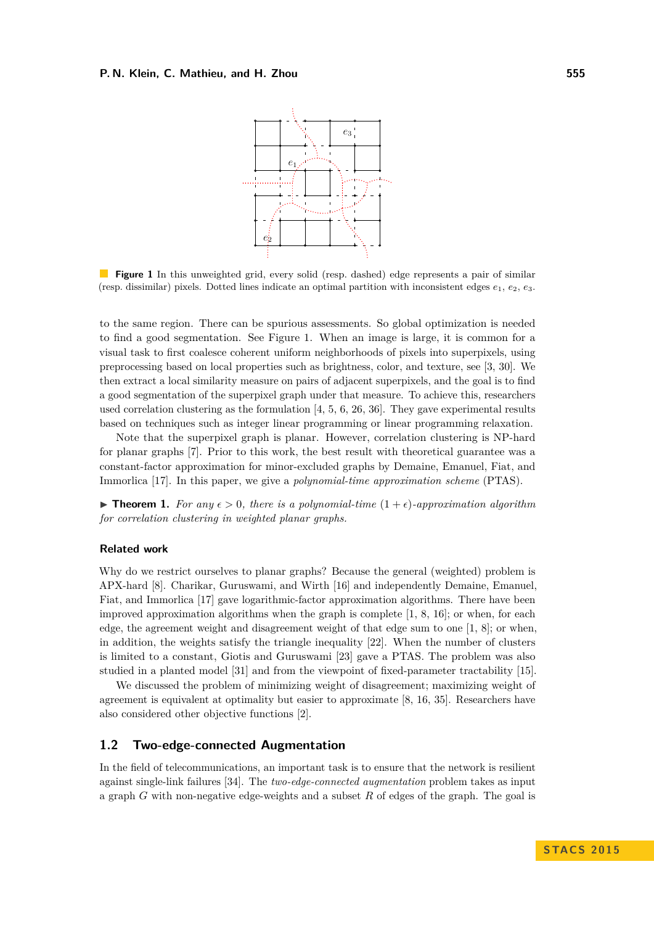#### <span id="page-1-0"></span>**P. N. Klein, C. Mathieu, and H. Zhou 555**



**Figure 1** In this unweighted grid, every solid (resp. dashed) edge represents a pair of similar (resp. dissimilar) pixels. Dotted lines indicate an optimal partition with inconsistent edges  $e_1, e_2, e_3$ .

to the same region. There can be spurious assessments. So global optimization is needed to find a good segmentation. See Figure [1.](#page-1-0) When an image is large, it is common for a visual task to first coalesce coherent uniform neighborhoods of pixels into superpixels, using preprocessing based on local properties such as brightness, color, and texture, see [\[3,](#page-11-0) [30\]](#page-13-1). We then extract a local similarity measure on pairs of adjacent superpixels, and the goal is to find a good segmentation of the superpixel graph under that measure. To achieve this, researchers used correlation clustering as the formulation  $[4, 5, 6, 26, 36]$  $[4, 5, 6, 26, 36]$  $[4, 5, 6, 26, 36]$  $[4, 5, 6, 26, 36]$  $[4, 5, 6, 26, 36]$  $[4, 5, 6, 26, 36]$  $[4, 5, 6, 26, 36]$  $[4, 5, 6, 26, 36]$  $[4, 5, 6, 26, 36]$ . They gave experimental results based on techniques such as integer linear programming or linear programming relaxation.

Note that the superpixel graph is planar. However, correlation clustering is NP-hard for planar graphs [\[7\]](#page-12-5). Prior to this work, the best result with theoretical guarantee was a constant-factor approximation for minor-excluded graphs by Demaine, Emanuel, Fiat, and Immorlica [\[17\]](#page-12-6). In this paper, we give a *polynomial-time approximation scheme* (PTAS).

<span id="page-1-1"></span>**Find 1.** For any  $\epsilon > 0$ , there is a polynomial-time  $(1 + \epsilon)$ -approximation algorithm *for correlation clustering in weighted planar graphs.*

#### **Related work**

Why do we restrict ourselves to planar graphs? Because the general (weighted) problem is APX-hard [\[8\]](#page-12-1). Charikar, Guruswami, and Wirth [\[16\]](#page-12-7) and independently Demaine, Emanuel, Fiat, and Immorlica [\[17\]](#page-12-6) gave logarithmic-factor approximation algorithms. There have been improved approximation algorithms when the graph is complete [\[1,](#page-11-1) [8,](#page-12-1) [16\]](#page-12-7); or when, for each edge, the agreement weight and disagreement weight of that edge sum to one [\[1,](#page-11-1) [8\]](#page-12-1); or when, in addition, the weights satisfy the triangle inequality [\[22\]](#page-12-8). When the number of clusters is limited to a constant, Giotis and Guruswami [\[23\]](#page-13-4) gave a PTAS. The problem was also studied in a planted model [\[31\]](#page-13-5) and from the viewpoint of fixed-parameter tractability [\[15\]](#page-12-9).

We discussed the problem of minimizing weight of disagreement; maximizing weight of agreement is equivalent at optimality but easier to approximate [\[8,](#page-12-1) [16,](#page-12-7) [35\]](#page-13-6). Researchers have also considered other objective functions [\[2\]](#page-11-2).

### **1.2 Two-edge-connected Augmentation**

In the field of telecommunications, an important task is to ensure that the network is resilient against single-link failures [\[34\]](#page-13-7). The *two-edge-connected augmentation* problem takes as input a graph *G* with non-negative edge-weights and a subset *R* of edges of the graph. The goal is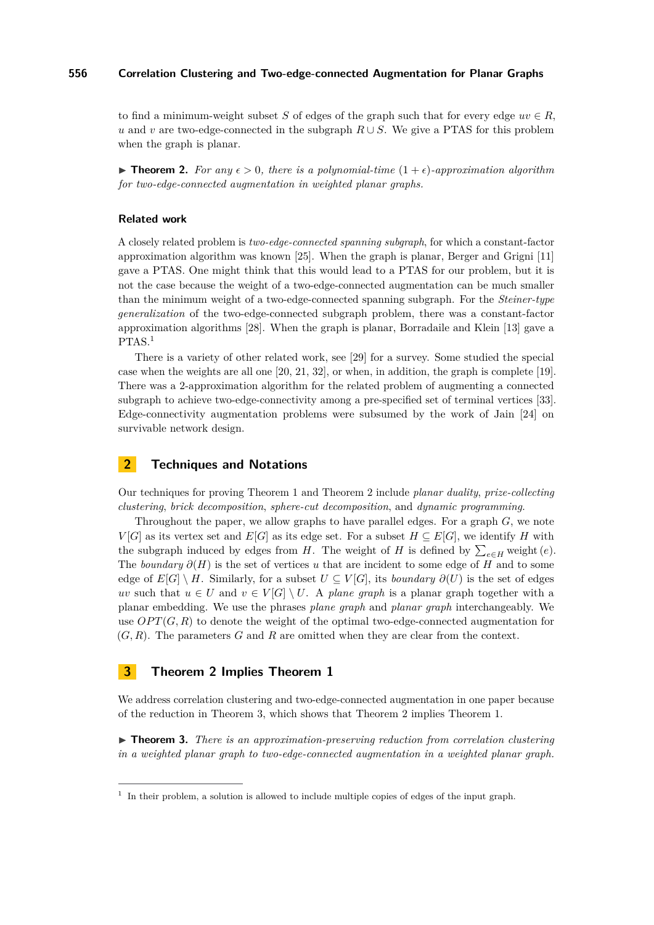to find a minimum-weight subset *S* of edges of the graph such that for every edge  $uv \in R$ , *u* and *v* are two-edge-connected in the subgraph  $R \cup S$ . We give a PTAS for this problem when the graph is planar.

<span id="page-2-1"></span>**In Theorem 2.** For any  $\epsilon > 0$ , there is a polynomial-time  $(1 + \epsilon)$ -approximation algorithm *for two-edge-connected augmentation in weighted planar graphs.*

#### **Related work**

A closely related problem is *two-edge-connected spanning subgraph*, for which a constant-factor approximation algorithm was known [\[25\]](#page-13-8). When the graph is planar, Berger and Grigni [\[11\]](#page-12-10) gave a PTAS. One might think that this would lead to a PTAS for our problem, but it is not the case because the weight of a two-edge-connected augmentation can be much smaller than the minimum weight of a two-edge-connected spanning subgraph. For the *Steiner-type generalization* of the two-edge-connected subgraph problem, there was a constant-factor approximation algorithms [\[28\]](#page-13-9). When the graph is planar, Borradaile and Klein [\[13\]](#page-12-11) gave a  $PTAS.<sup>1</sup>$  $PTAS.<sup>1</sup>$  $PTAS.<sup>1</sup>$ 

There is a variety of other related work, see [\[29\]](#page-13-10) for a survey. Some studied the special case when the weights are all one [\[20,](#page-12-12) [21,](#page-12-13) [32\]](#page-13-11), or when, in addition, the graph is complete [\[19\]](#page-12-14). There was a 2-approximation algorithm for the related problem of augmenting a connected subgraph to achieve two-edge-connectivity among a pre-specified set of terminal vertices [\[33\]](#page-13-12). Edge-connectivity augmentation problems were subsumed by the work of Jain [\[24\]](#page-13-13) on survivable network design.

# **2 Techniques and Notations**

Our techniques for proving Theorem [1](#page-1-1) and Theorem [2](#page-2-1) include *planar duality*, *prize-collecting clustering*, *brick decomposition*, *sphere-cut decomposition*, and *dynamic programming*.

Throughout the paper, we allow graphs to have parallel edges. For a graph *G*, we note *V* [*G*] as its vertex set and *E*[*G*] as its edge set. For a subset  $H \subseteq E[G]$ , we identify *H* with the subgraph induced by edges from *H*. The weight of *H* is defined by  $\sum_{e \in H}$  weight  $(e)$ . The *boundary ∂*(*H*) is the set of vertices *u* that are incident to some edge of *H* and to some edge of  $E[G] \setminus H$ . Similarly, for a subset  $U \subseteq V[G]$ , its *boundary*  $\partial(U)$  is the set of edges *uv* such that  $u \in U$  and  $v \in V[G] \setminus U$ . A *plane graph* is a planar graph together with a planar embedding. We use the phrases *plane graph* and *planar graph* interchangeably. We use  $OPT(G, R)$  to denote the weight of the optimal two-edge-connected augmentation for (*G, R*). The parameters *G* and *R* are omitted when they are clear from the context.

## **3 Theorem [2](#page-2-1) Implies Theorem [1](#page-1-1)**

We address correlation clustering and two-edge-connected augmentation in one paper because of the reduction in Theorem [3,](#page-2-2) which shows that Theorem [2](#page-2-1) implies Theorem [1.](#page-1-1)

<span id="page-2-2"></span>▶ **Theorem 3.** *There is an approximation-preserving reduction from correlation clustering in a weighted planar graph to two-edge-connected augmentation in a weighted planar graph.*

<span id="page-2-0"></span><sup>&</sup>lt;sup>1</sup> In their problem, a solution is allowed to include multiple copies of edges of the input graph.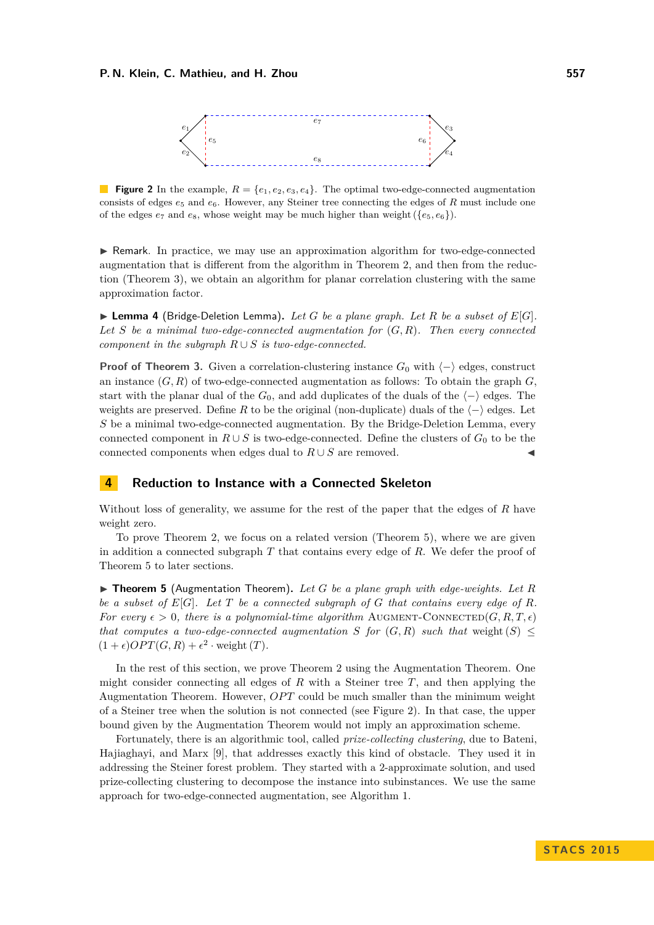<span id="page-3-1"></span>

**Figure 2** In the example,  $R = \{e_1, e_2, e_3, e_4\}$ . The optimal two-edge-connected augmentation consists of edges  $e_5$  and  $e_6$ . However, any Steiner tree connecting the edges of *R* must include one of the edges  $e_7$  and  $e_8$ , whose weight may be much higher than weight  $(\{e_5, e_6\})$ .

I Remark. In practice, we may use an approximation algorithm for two-edge-connected augmentation that is different from the algorithm in Theorem [2,](#page-2-1) and then from the reduction (Theorem [3\)](#page-2-2), we obtain an algorithm for planar correlation clustering with the same approximation factor.

<span id="page-3-2"></span> $\blacktriangleright$  **Lemma 4** (Bridge-Deletion Lemma). Let *G* be a plane graph. Let *R* be a subset of  $E[G]$ . *Let S be a minimal two-edge-connected augmentation for* (*G, R*)*. Then every connected component in the subgraph*  $R \cup S$  *is two-edge-connected.* 

**Proof of Theorem [3.](#page-2-2)** Given a correlation-clustering instance  $G_0$  with  $\langle - \rangle$  edges, construct an instance  $(G, R)$  of two-edge-connected augmentation as follows: To obtain the graph  $G$ , start with the planar dual of the  $G_0$ , and add duplicates of the duals of the  $\langle - \rangle$  edges. The weights are preserved. Define R to be the original (non-duplicate) duals of the  $\langle - \rangle$  edges. Let *S* be a minimal two-edge-connected augmentation. By the Bridge-Deletion Lemma, every connected component in  $R \cup S$  is two-edge-connected. Define the clusters of  $G_0$  to be the connected components when edges dual to  $R \cup S$  are removed.

# **4 Reduction to Instance with a Connected Skeleton**

Without loss of generality, we assume for the rest of the paper that the edges of *R* have weight zero.

To prove Theorem [2,](#page-2-1) we focus on a related version (Theorem [5\)](#page-3-0), where we are given in addition a connected subgraph *T* that contains every edge of *R*. We defer the proof of Theorem [5](#page-3-0) to later sections.

<span id="page-3-0"></span> $\triangleright$  **Theorem 5** (Augmentation Theorem). Let G be a plane graph with edge-weights. Let R *be a subset of E*[*G*]*. Let T be a connected subgraph of G that contains every edge of R. For every*  $\epsilon > 0$ , there is a polynomial-time algorithm AUGMENT-CONNECTED(*G, R, T,*  $\epsilon$ ) *that computes a two-edge-connected augmentation S for*  $(G, R)$  *such that* weight  $(S) \leq$  $(1 + \epsilon) OPT(G, R) + \epsilon^2 \cdot \text{weight}(T)$ .

In the rest of this section, we prove Theorem [2](#page-2-1) using the Augmentation Theorem. One might consider connecting all edges of *R* with a Steiner tree *T*, and then applying the Augmentation Theorem. However, *OPT* could be much smaller than the minimum weight of a Steiner tree when the solution is not connected (see Figure [2\)](#page-3-1). In that case, the upper bound given by the Augmentation Theorem would not imply an approximation scheme.

Fortunately, there is an algorithmic tool, called *prize-collecting clustering*, due to Bateni, Hajiaghayi, and Marx [\[9\]](#page-12-15), that addresses exactly this kind of obstacle. They used it in addressing the Steiner forest problem. They started with a 2-approximate solution, and used prize-collecting clustering to decompose the instance into subinstances. We use the same approach for two-edge-connected augmentation, see Algorithm [1.](#page-4-0)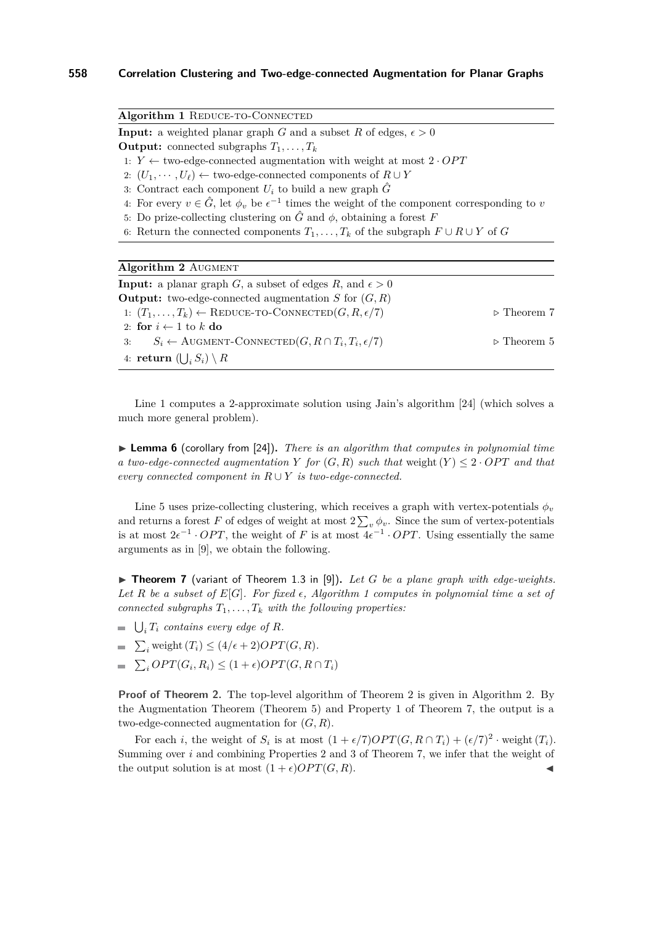<span id="page-4-0"></span>Algorithm 1 REDUCE-TO-CONNECTED

**Input:** a weighted planar graph *G* and a subset *R* of edges,  $\epsilon > 0$ 

**Output:** connected subgraphs  $T_1, \ldots, T_k$ 

- 1:  $Y \leftarrow$  two-edge-connected augmentation with weight at most  $2 \cdot OPT$
- 2:  $(U_1, \cdots, U_\ell) \leftarrow$  two-edge-connected components of  $R \cup Y$
- 3: Contract each component  $U_i$  to build a new graph  $\hat{G}$
- 4: For every  $v \in \hat{G}$ , let  $\phi_v$  be  $\epsilon^{-1}$  times the weight of the component corresponding to *v*
- 5: Do prize-collecting clustering on  $\hat{G}$  and  $\phi$ , obtaining a forest *F*
- 6: Return the connected components  $T_1, \ldots, T_k$  of the subgraph  $F \cup R \cup Y$  of  $G$

<span id="page-4-2"></span>

| <b>Algorithm 2 AUGMENT</b>                                                  |                            |
|-----------------------------------------------------------------------------|----------------------------|
| <b>Input:</b> a planar graph G, a subset of edges R, and $\epsilon > 0$     |                            |
| <b>Output:</b> two-edge-connected augmentation S for $(G, R)$               |                            |
| 1: $(T_1, \ldots, T_k) \leftarrow$ REDUCE-TO-CONNECTED $(G, R, \epsilon/7)$ | $\triangleright$ Theorem 7 |
| 2: for $i \leftarrow 1$ to k do                                             |                            |
| $S_i \leftarrow$ AUGMENT-CONNECTED $(G, R \cap T_i, T_i, \epsilon/7)$<br>3: | $\triangleright$ Theorem 5 |
| 4: return $(\bigcup_i S_i) \setminus R$                                     |                            |

Line [1](#page-4-0) computes a 2-approximate solution using Jain's algorithm [\[24\]](#page-13-13) (which solves a much more general problem).

▶ **Lemma 6** (corollary from [\[24\]](#page-13-13)). *There is an algorithm that computes in polynomial time a two-edge-connected augmentation Y for*  $(G, R)$  *such that* weight  $(Y) \leq 2 \cdot OPT$  *and that every connected component in*  $R \cup Y$  *is two-edge-connected.* 

Line [5](#page-4-0) uses prize-collecting clustering, which receives a graph with vertex-potentials  $\phi_v$ and returns a forest  $F$  of edges of weight at most  $2\sum_{v}\phi_{v}$ . Since the sum of vertex-potentials is at most  $2e^{-1} \cdot OPT$ , the weight of *F* is at most  $4e^{-1} \cdot OPT$ . Using essentially the same arguments as in [\[9\]](#page-12-15), we obtain the following.

<span id="page-4-1"></span>**Figure 7** (variant of Theorem 1.3 in [\[9\]](#page-12-15)). Let G be a plane graph with edge-weights. Let  $R$  be a subset of  $E[G]$ *. For fixed*  $\epsilon$ *, Algorithm* [1](#page-4-0) *computes in polynomial time a set of connected subgraphs*  $T_1, \ldots, T_k$  *with the following properties:* 

- $\bigcup_i T_i$  *contains every edge of R.*
- $\sum_i$  weight  $(T_i) \leq (4/\epsilon + 2)OPT(G, R)$ *.*
- $\sum_i OPT(G_i, R_i) \leq (1 + \epsilon) OPT(G, R \cap T_i)$

**Proof of Theorem [2.](#page-4-2)** The top-level algorithm of Theorem [2](#page-2-1) is given in Algorithm 2. By the Augmentation Theorem (Theorem [5\)](#page-3-0) and Property 1 of Theorem [7,](#page-4-1) the output is a two-edge-connected augmentation for (*G, R*).

For each *i*, the weight of  $S_i$  is at most  $(1 + \epsilon/7)OPT(G, R \cap T_i) + (\epsilon/7)^2 \cdot$  weight  $(T_i)$ . Summing over *i* and combining Properties 2 and 3 of Theorem [7,](#page-4-1) we infer that the weight of the output solution is at most  $(1 + \epsilon) OPT(G, R)$ .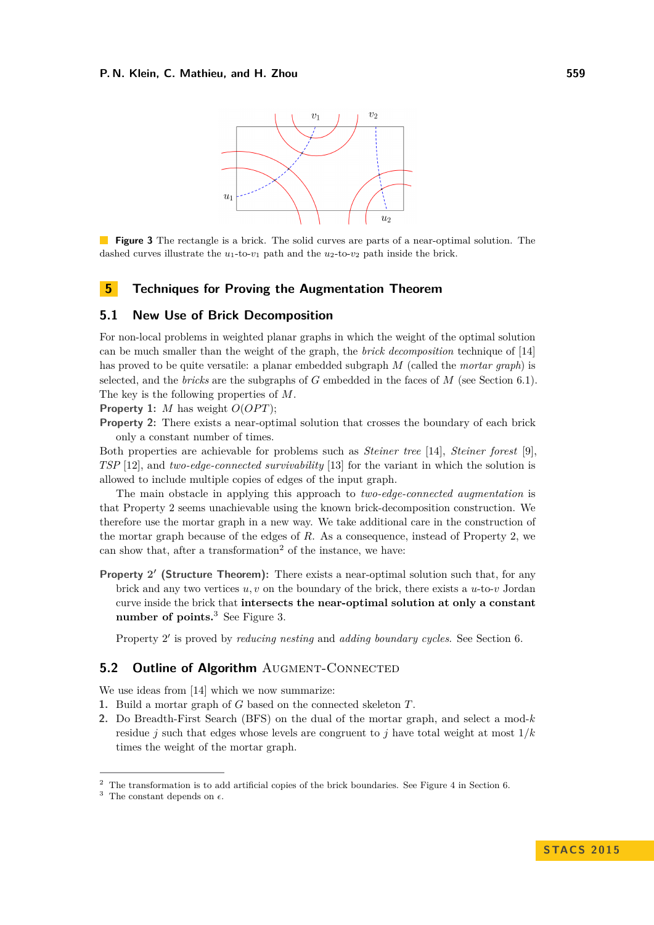#### <span id="page-5-2"></span>**P. N. Klein, C. Mathieu, and H. Zhou 559**



**Figure 3** The rectangle is a brick. The solid curves are parts of a near-optimal solution. The dashed curves illustrate the  $u_1$ -to- $v_1$  path and the  $u_2$ -to- $v_2$  path inside the brick.

### **5 Techniques for Proving the Augmentation Theorem**

### **5.1 New Use of Brick Decomposition**

For non-local problems in weighted planar graphs in which the weight of the optimal solution can be much smaller than the weight of the graph, the *brick decomposition* technique of [\[14\]](#page-12-16) has proved to be quite versatile: a planar embedded subgraph *M* (called the *mortar graph*) is selected, and the *bricks* are the subgraphs of *G* embedded in the faces of *M* (see Section [6.1\)](#page-6-0). The key is the following properties of *M*.

**Property 1:** *M* has weight  $O(OPT)$ ;

**Property 2:** There exists a near-optimal solution that crosses the boundary of each brick only a constant number of times.

Both properties are achievable for problems such as *Steiner tree* [\[14\]](#page-12-16), *Steiner forest* [\[9\]](#page-12-15), *TSP* [\[12\]](#page-12-17), and *two-edge-connected survivability* [\[13\]](#page-12-11) for the variant in which the solution is allowed to include multiple copies of edges of the input graph.

The main obstacle in applying this approach to *two-edge-connected augmentation* is that Property 2 seems unachievable using the known brick-decomposition construction. We therefore use the mortar graph in a new way. We take additional care in the construction of the mortar graph because of the edges of *R*. As a consequence, instead of Property 2, we can show that, after a transformation<sup>[2](#page-5-0)</sup> of the instance, we have:

Property 2' (Structure Theorem): There exists a near-optimal solution such that, for any brick and any two vertices *u, v* on the boundary of the brick, there exists a *u*-to-*v* Jordan curve inside the brick that **intersects the near-optimal solution at only a constant number of points.**[3](#page-5-1) See Figure [3.](#page-5-2)

Property 2' is proved by *reducing nesting* and *adding boundary cycles*. See Section [6.](#page-6-1)

### **5.2 Outline of Algorithm** AUGMENT-CONNECTED

We use ideas from [\[14\]](#page-12-16) which we now summarize:

- **1.** Build a mortar graph of *G* based on the connected skeleton *T*.
- **2.** Do Breadth-First Search (BFS) on the dual of the mortar graph, and select a mod-*k* residue *j* such that edges whose levels are congruent to *j* have total weight at most 1*/k* times the weight of the mortar graph.

<span id="page-5-0"></span><sup>2</sup> The transformation is to add artificial copies of the brick boundaries. See Figure [4](#page-7-0) in Section [6.](#page-6-1)

<span id="page-5-1"></span><sup>&</sup>lt;sup>3</sup> The constant depends on  $\epsilon$ .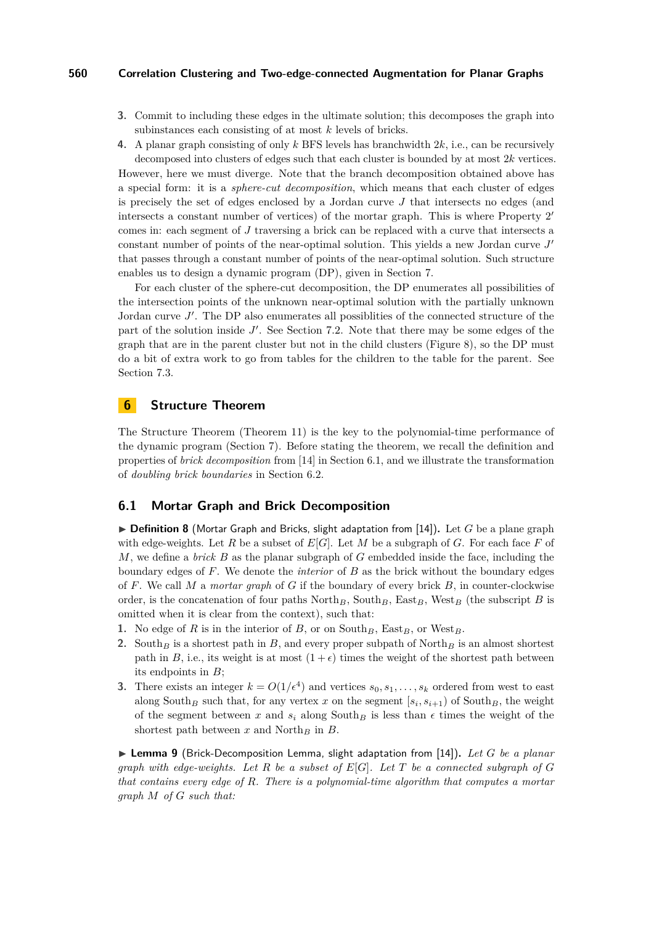- **3.** Commit to including these edges in the ultimate solution; this decomposes the graph into subinstances each consisting of at most *k* levels of bricks.
- **4.** A planar graph consisting of only *k* BFS levels has branchwidth 2*k*, i.e., can be recursively decomposed into clusters of edges such that each cluster is bounded by at most 2*k* vertices.

However, here we must diverge. Note that the branch decomposition obtained above has a special form: it is a *sphere-cut decomposition*, which means that each cluster of edges is precisely the set of edges enclosed by a Jordan curve *J* that intersects no edges (and intersects a constant number of vertices) of the mortar graph. This is where Property 2 0 comes in: each segment of *J* traversing a brick can be replaced with a curve that intersects a constant number of points of the near-optimal solution. This yields a new Jordan curve J' that passes through a constant number of points of the near-optimal solution. Such structure enables us to design a dynamic program (DP), given in Section [7.](#page-8-0)

For each cluster of the sphere-cut decomposition, the DP enumerates all possibilities of the intersection points of the unknown near-optimal solution with the partially unknown Jordan curve  $J'$ . The DP also enumerates all possibilities of the connected structure of the part of the solution inside  $J'$ . See Section [7.2.](#page-9-0) Note that there may be some edges of the graph that are in the parent cluster but not in the child clusters (Figure [8\)](#page-11-3), so the DP must do a bit of extra work to go from tables for the children to the table for the parent. See Section [7.3.](#page-10-0)

# <span id="page-6-1"></span>**6 Structure Theorem**

The Structure Theorem (Theorem [11\)](#page-7-1) is the key to the polynomial-time performance of the dynamic program (Section [7\)](#page-8-0). Before stating the theorem, we recall the definition and properties of *brick decomposition* from [\[14\]](#page-12-16) in Section [6.1,](#page-6-0) and we illustrate the transformation of *doubling brick boundaries* in Section [6.2.](#page-7-2)

### <span id="page-6-0"></span>**6.1 Mortar Graph and Brick Decomposition**

<span id="page-6-2"></span> $\triangleright$  **Definition 8** (Mortar Graph and Bricks, slight adaptation from [\[14\]](#page-12-16)). Let *G* be a plane graph with edge-weights. Let *R* be a subset of  $E[G]$ . Let *M* be a subgraph of *G*. For each face *F* of *M*, we define a *brick B* as the planar subgraph of *G* embedded inside the face, including the boundary edges of *F*. We denote the *interior* of *B* as the brick without the boundary edges of *F*. We call *M* a *mortar graph* of *G* if the boundary of every brick *B*, in counter-clockwise order, is the concatenation of four paths  $\text{North}_B$ ,  $\text{South}_B$ ,  $\text{East}_B$ ,  $\text{West}_B$  (the subscript *B* is omitted when it is clear from the context), such that:

- **1.** No edge of  $R$  is in the interior of  $B$ , or on South<sub>B</sub>, East<sub>B</sub>, or West<sub>B</sub>.
- **2.** South<sub>B</sub> is a shortest path in *B*, and every proper subpath of North<sub>B</sub> is an almost shortest path in *B*, i.e., its weight is at most  $(1 + \epsilon)$  times the weight of the shortest path between its endpoints in *B*;
- **3.** There exists an integer  $k = O(1/\epsilon^4)$  and vertices  $s_0, s_1, \ldots, s_k$  ordered from west to east along South<sub>B</sub> such that, for any vertex x on the segment  $[s_i, s_{i+1})$  of South<sub>B</sub>, the weight of the segment between x and  $s_i$  along South<sub>B</sub> is less than  $\epsilon$  times the weight of the shortest path between  $x$  and North<sub>*B*</sub> in  $B$ .

▶ Lemma 9 (Brick-Decomposition Lemma, slight adaptation from [\[14\]](#page-12-16)). Let *G* be a planar *graph with edge-weights. Let*  $R$  *be a subset of*  $E[G]$ *. Let*  $T$  *be a connected subgraph of*  $G$ *that contains every edge of R. There is a polynomial-time algorithm that computes a mortar graph M of G such that:*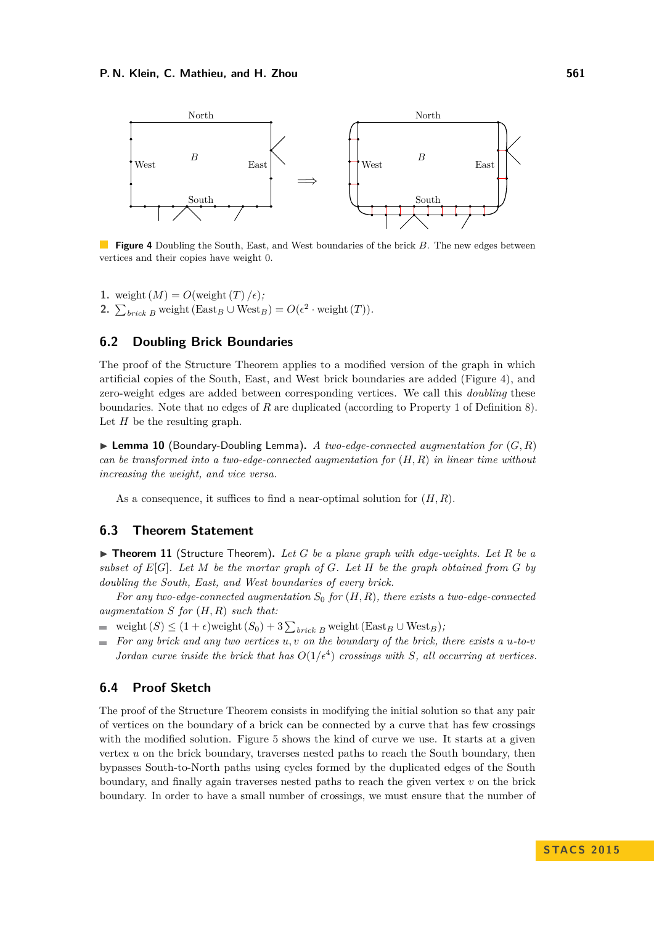<span id="page-7-0"></span>

**Figure 4** Doubling the South, East, and West boundaries of the brick *B*. The new edges between vertices and their copies have weight 0.

**1.** weight  $(M) = O(\text{weight}(T)/\epsilon)$ ; 2.  $\sum_{brick B}$  weight (East<sub>*B*</sub> ∪ West<sub>*B*</sub>) =  $O(\epsilon^2 \cdot$  weight (*T*)).

## <span id="page-7-2"></span>**6.2 Doubling Brick Boundaries**

The proof of the Structure Theorem applies to a modified version of the graph in which artificial copies of the South, East, and West brick boundaries are added (Figure [4\)](#page-7-0), and zero-weight edges are added between corresponding vertices. We call this *doubling* these boundaries. Note that no edges of *R* are duplicated (according to Property 1 of Definition [8\)](#page-6-2). Let *H* be the resulting graph.

**Lemma 10** (Boundary-Doubling Lemma). A two-edge-connected augmentation for  $(G, R)$ *can be transformed into a two-edge-connected augmentation for* (*H, R*) *in linear time without increasing the weight, and vice versa.*

As a consequence, it suffices to find a near-optimal solution for (*H, R*).

# **6.3 Theorem Statement**

<span id="page-7-1"></span>▶ **Theorem 11** (Structure Theorem). Let *G* be a plane graph with edge-weights. Let *R* be a *subset of E*[*G*]*. Let M be the mortar graph of G. Let H be the graph obtained from G by doubling the South, East, and West boundaries of every brick.*

*For any two-edge-connected augmentation S*<sup>0</sup> *for* (*H, R*)*, there exists a two-edge-connected augmentation S for* (*H, R*) *such that:*

- weight  $(S) \leq (1 + \epsilon)$  weight  $(S_0) + 3 \sum_{brick B}$  weight  $(\text{East}_B \cup \text{West}_B)$ ;
- *For any brick and any two vertices u, v on the boundary of the brick, there exists a u-to-v*  $\equiv$ *Jordan curve inside the brick that has*  $O(1/\epsilon^4)$  *crossings with S, all occurring at vertices.*

### **6.4 Proof Sketch**

The proof of the Structure Theorem consists in modifying the initial solution so that any pair of vertices on the boundary of a brick can be connected by a curve that has few crossings with the modified solution. Figure [5](#page-8-1) shows the kind of curve we use. It starts at a given vertex *u* on the brick boundary, traverses nested paths to reach the South boundary, then bypasses South-to-North paths using cycles formed by the duplicated edges of the South boundary, and finally again traverses nested paths to reach the given vertex *v* on the brick boundary. In order to have a small number of crossings, we must ensure that the number of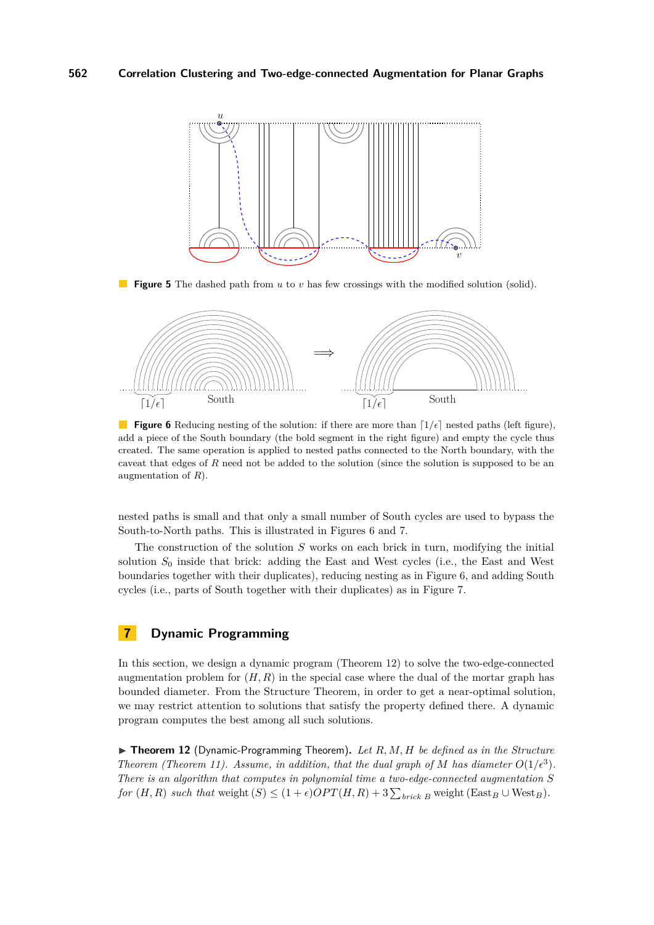<span id="page-8-1"></span>

**Figure 5** The dashed path from *u* to *v* has few crossings with the modified solution (solid).

<span id="page-8-2"></span>

**Figure 6** Reducing nesting of the solution: if there are more than  $\left[1/\epsilon\right]$  nested paths (left figure), add a piece of the South boundary (the bold segment in the right figure) and empty the cycle thus created. The same operation is applied to nested paths connected to the North boundary, with the caveat that edges of *R* need not be added to the solution (since the solution is supposed to be an augmentation of *R*).

nested paths is small and that only a small number of South cycles are used to bypass the South-to-North paths. This is illustrated in Figures [6](#page-8-2) and [7.](#page-9-1)

The construction of the solution *S* works on each brick in turn, modifying the initial solution  $S_0$  inside that brick: adding the East and West cycles (i.e., the East and West boundaries together with their duplicates), reducing nesting as in Figure [6,](#page-8-2) and adding South cycles (i.e., parts of South together with their duplicates) as in Figure [7.](#page-9-1)

# <span id="page-8-0"></span>**7 Dynamic Programming**

In this section, we design a dynamic program (Theorem [12\)](#page-8-3) to solve the two-edge-connected augmentation problem for  $(H, R)$  in the special case where the dual of the mortar graph has bounded diameter. From the Structure Theorem, in order to get a near-optimal solution, we may restrict attention to solutions that satisfy the property defined there. A dynamic program computes the best among all such solutions.

<span id="page-8-3"></span>▶ Theorem 12 (Dynamic-Programming Theorem). Let R, M, H be defined as in the Structure *Theorem (Theorem [11\)](#page-7-1). Assume, in addition, that the dual graph of M has diameter*  $O(1/\epsilon^3)$ . *There is an algorithm that computes in polynomial time a two-edge-connected augmentation S for*  $(H, R)$  *such that* weight  $(S) \leq (1 + \epsilon)OPT(H, R) + 3\sum_{brick B}$  weight  $(East_B \cup West_B)$ .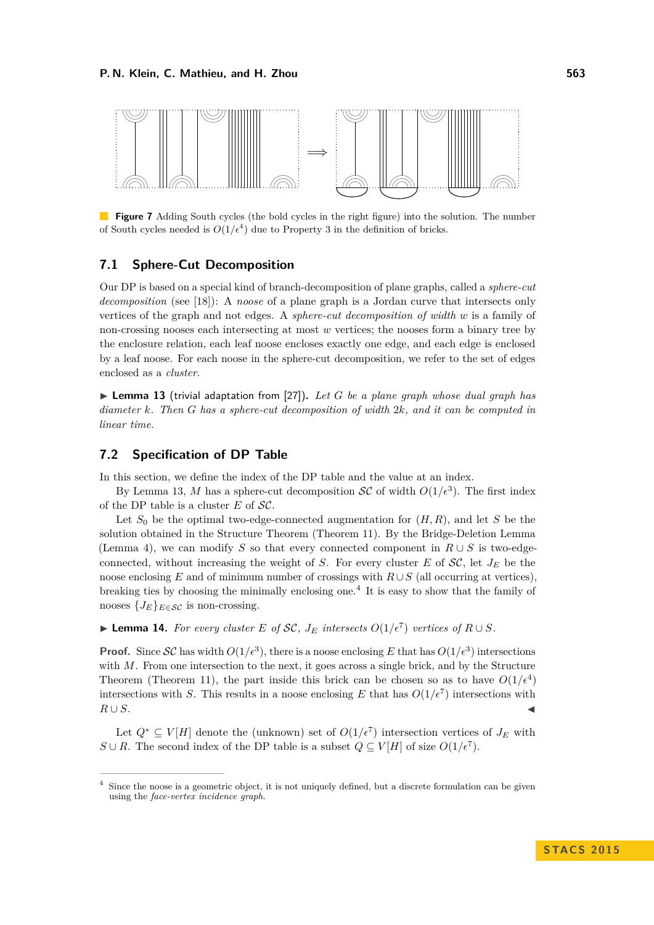<span id="page-9-1"></span>

**Figure 7** Adding South cycles (the bold cycles in the right figure) into the solution. The number of South cycles needed is  $O(1/\epsilon^4)$  due to Property 3 in the definition of bricks.

### **7.1 Sphere-Cut Decomposition**

Our DP is based on a special kind of branch-decomposition of plane graphs, called a *sphere-cut decomposition* (see [\[18\]](#page-12-18)): A *noose* of a plane graph is a Jordan curve that intersects only vertices of the graph and not edges. A *sphere-cut decomposition of width w* is a family of non-crossing nooses each intersecting at most *w* vertices; the nooses form a binary tree by the enclosure relation, each leaf noose encloses exactly one edge, and each edge is enclosed by a leaf noose. For each noose in the sphere-cut decomposition, we refer to the set of edges enclosed as a *cluster*.

<span id="page-9-2"></span> $\triangleright$  **Lemma 13** (trivial adaptation from [\[27\]](#page-13-14)). Let G be a plane graph whose dual graph has *diameter k. Then G has a sphere-cut decomposition of width* 2*k, and it can be computed in linear time.*

## <span id="page-9-0"></span>**7.2 Specification of DP Table**

In this section, we define the index of the DP table and the value at an index.

By Lemma [13,](#page-9-2) M has a sphere-cut decomposition  $\mathcal{SC}$  of width  $O(1/\epsilon^3)$ . The first index of the DP table is a cluster  $E$  of  $\mathcal{SC}$ .

Let  $S_0$  be the optimal two-edge-connected augmentation for  $(H, R)$ , and let *S* be the solution obtained in the Structure Theorem (Theorem [11\)](#page-7-1). By the Bridge-Deletion Lemma (Lemma [4\)](#page-3-2), we can modify *S* so that every connected component in  $R \cup S$  is two-edgeconnected, without increasing the weight of *S*. For every cluster *E* of  $SC$ , let  $J_E$  be the noose enclosing *E* and of minimum number of crossings with  $R \cup S$  (all occurring at vertices), breaking ties by choosing the minimally enclosing one.[4](#page-9-3) It is easy to show that the family of nooses  ${J_E}_{E \in \mathcal{SC}}$  is non-crossing.

▶ **Lemma 14.** For every cluster *E* of *SC*,  $J_E$  intersects  $O(1/\epsilon^7)$  vertices of  $R \cup S$ .

**Proof.** Since SC has width  $O(1/\epsilon^3)$ , there is a noose enclosing E that has  $O(1/\epsilon^3)$  intersections with *M*. From one intersection to the next, it goes across a single brick, and by the Structure Theorem (Theorem [11\)](#page-7-1), the part inside this brick can be chosen so as to have  $O(1/\epsilon^4)$ intersections with *S*. This results in a noose enclosing *E* that has  $O(1/\epsilon^7)$  intersections with  $R \cup S$ .

Let  $Q^* \subseteq V[H]$  denote the (unknown) set of  $O(1/\epsilon^7)$  intersection vertices of  $J_E$  with *S* ∪ *R*. The second index of the DP table is a subset  $Q \subseteq V[H]$  of size  $O(1/\epsilon^7)$ .

<span id="page-9-3"></span><sup>4</sup> Since the noose is a geometric object, it is not uniquely defined, but a discrete formulation can be given using the *face-vertex incidence graph*.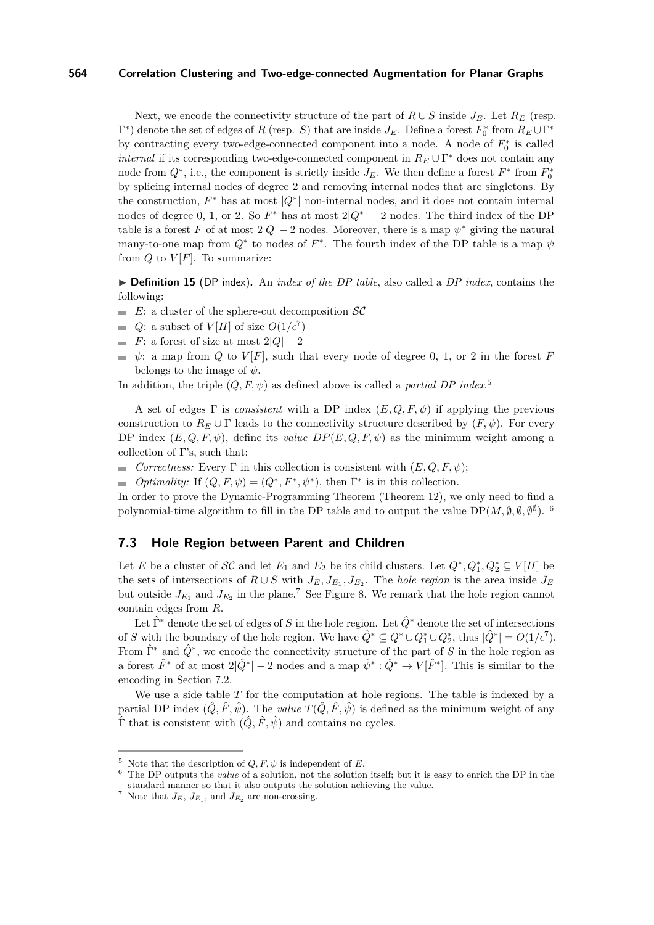Next, we encode the connectivity structure of the part of  $R \cup S$  inside  $J_E$ . Let  $R_E$  (resp.  $\Gamma^*$ ) denote the set of edges of *R* (resp. *S*) that are inside  $J_E$ . Define a forest  $F_0^*$  from  $R_E \cup \Gamma^*$ by contracting every two-edge-connected component into a node. A node of  $F_0^*$  is called *internal* if its corresponding two-edge-connected component in  $R_E \cup \Gamma^*$  does not contain any node from  $Q^*$ , i.e., the component is strictly inside  $J_E$ . We then define a forest  $F^*$  from  $F_0^*$ by splicing internal nodes of degree 2 and removing internal nodes that are singletons. By the construction,  $F^*$  has at most  $|Q^*|$  non-internal nodes, and it does not contain internal nodes of degree 0, 1, or 2. So  $F^*$  has at most  $2|Q^*| - 2$  nodes. The third index of the DP table is a forest *F* of at most  $2|Q| - 2$  nodes. Moreover, there is a map  $\psi^*$  giving the natural many-to-one map from  $Q^*$  to nodes of  $F^*$ . The fourth index of the DP table is a map  $\psi$ from  $Q$  to  $V[F]$ . To summarize:

▶ **Definition 15** (DP index). An *index of the DP table*, also called a *DP index*, contains the following:

- $E:$  a cluster of the sphere-cut decomposition  $\mathcal{SC}$
- *Q*: a subset of  $V[H]$  of size  $O(1/\epsilon^7)$
- *F*: a forest of size at most  $2|Q| 2$
- $\psi$ : a map from *Q* to *V*[*F*], such that every node of degree 0, 1, or 2 in the forest *F* belongs to the image of *ψ*.

In addition, the triple  $(Q, F, \psi)$  as defined above is called a *partial DP index*<sup>[5](#page-10-1)</sup>

A set of edges Γ is *consistent* with a DP index (*E, Q, F, ψ*) if applying the previous construction to  $R_E \cup \Gamma$  leads to the connectivity structure described by  $(F, \psi)$ . For every DP index  $(E, Q, F, \psi)$ , define its *value*  $DP(E, Q, F, \psi)$  as the minimum weight among a collection of  $\Gamma$ 's, such that:

*Correctness:* Every  $\Gamma$  in this collection is consistent with  $(E, Q, F, \psi)$ ;  $\overline{a}$ 

*Optimality:* If  $(Q, F, \psi) = (Q^*, F^*, \psi^*)$ , then  $\Gamma^*$  is in this collection.

In order to prove the Dynamic-Programming Theorem (Theorem [12\)](#page-8-3), we only need to find a polynomial-time algorithm to fill in the DP table and to output the value  $DP(M, \emptyset, \emptyset, \emptyset^{\emptyset})$ .

### <span id="page-10-0"></span>**7.3 Hole Region between Parent and Children**

Let *E* be a cluster of  $\mathcal{SC}$  and let  $E_1$  and  $E_2$  be its child clusters. Let  $Q^*, Q_1^*, Q_2^* \subseteq V[H]$  be the sets of intersections of  $R \cup S$  with  $J_E, J_{E_1}, J_{E_2}$ . The *hole region* is the area inside  $J_E$ but outside  $J_{E_1}$  and  $J_{E_2}$  in the plane.<sup>[7](#page-10-3)</sup> See Figure [8.](#page-11-3) We remark that the hole region cannot contain edges from *R*.

Let  $\hat{\Gamma}^*$  denote the set of edges of *S* in the hole region. Let  $\hat{Q}^*$  denote the set of intersections of *S* with the boundary of the hole region. We have  $\hat{Q}^* \subseteq Q^* \cup Q_1^* \cup Q_2^*$ , thus  $|\hat{Q}^*| = O(1/\epsilon^7)$ . From  $\hat{\Gamma}^*$  and  $\hat{Q}^*$ , we encode the connectivity structure of the part of *S* in the hole region as a forest  $\hat{F}^*$  of at most  $2|\hat{Q}^*|-2$  nodes and a map  $\hat{\psi}^*:\hat{Q}^*\to V[\hat{F}^*]$ . This is similar to the encoding in Section [7.2.](#page-9-0)

We use a side table *T* for the computation at hole regions. The table is indexed by a partial DP index  $(\hat{Q}, \hat{F}, \hat{\psi})$ . The *value*  $T(\hat{Q}, \hat{F}, \hat{\psi})$  is defined as the minimum weight of any  $\hat{\Gamma}$  that is consistent with  $(\hat{Q}, \hat{F}, \hat{\psi})$  and contains no cycles.

<span id="page-10-1"></span><sup>&</sup>lt;sup>5</sup> Note that the description of  $Q, F, \psi$  is independent of *E*.

<span id="page-10-2"></span><sup>6</sup> The DP outputs the *value* of a solution, not the solution itself; but it is easy to enrich the DP in the standard manner so that it also outputs the solution achieving the value.

<span id="page-10-3"></span><sup>&</sup>lt;sup>7</sup> Note that  $J_E$ ,  $J_{E_1}$ , and  $J_{E_2}$  are non-crossing.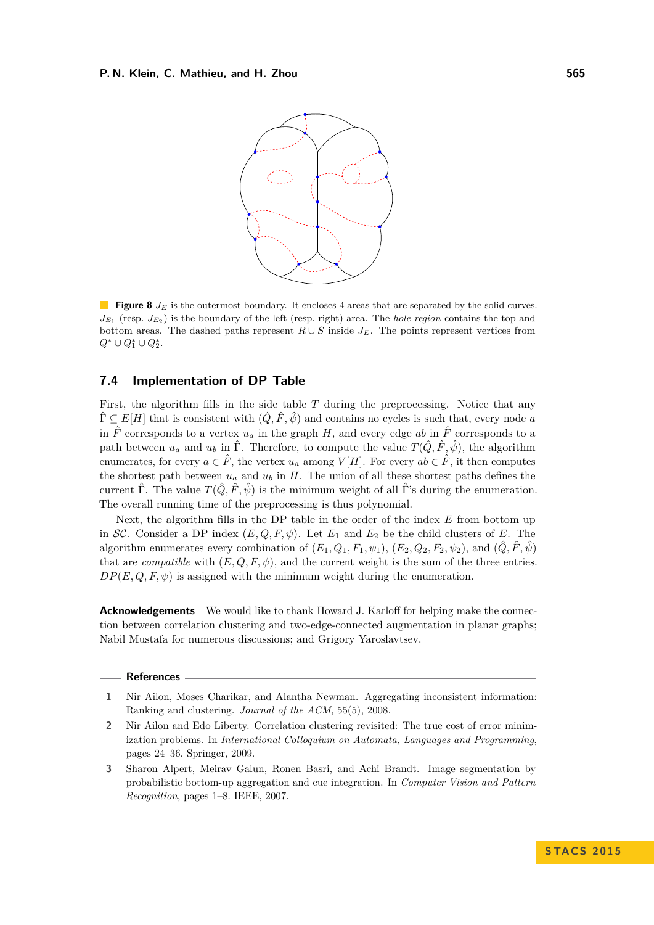<span id="page-11-3"></span>

**Figure 8**  $J_E$  is the outermost boundary. It encloses 4 areas that are separated by the solid curves.  $J_{E_1}$  (resp.  $J_{E_2}$ ) is the boundary of the left (resp. right) area. The *hole region* contains the top and bottom areas. The dashed paths represent  $R \cup S$  inside  $J_E$ . The points represent vertices from  $Q^* \cup Q_1^* \cup Q_2^*.$ 

## **7.4 Implementation of DP Table**

First, the algorithm fills in the side table *T* during the preprocessing. Notice that any  $\hat{\Gamma} \subseteq E[H]$  that is consistent with  $(\hat{Q}, \hat{F}, \hat{\psi})$  and contains no cycles is such that, every node *a* in  $\hat{F}$  corresponds to a vertex  $u_a$  in the graph *H*, and every edge *ab* in  $\hat{F}$  corresponds to a path between  $u_a$  and  $u_b$  in  $\hat{\Gamma}$ . Therefore, to compute the value  $T(\hat{Q}, \hat{F}, \hat{\psi})$ , the algorithm enumerates, for every  $a \in \hat{F}$ , the vertex  $u_a$  among  $V[H]$ . For every  $ab \in \hat{F}$ , it then computes the shortest path between  $u_a$  and  $u_b$  in *H*. The union of all these shortest paths defines the current  $\hat{\Gamma}$ . The value  $T(\hat{Q}, \hat{F}, \hat{\psi})$  is the minimum weight of all  $\hat{\Gamma}$ 's during the enumeration. The overall running time of the preprocessing is thus polynomial.

Next, the algorithm fills in the DP table in the order of the index *E* from bottom up in SC. Consider a DP index  $(E, Q, F, \psi)$ . Let  $E_1$  and  $E_2$  be the child clusters of E. The algorithm enumerates every combination of  $(E_1, Q_1, F_1, \psi_1)$ ,  $(E_2, Q_2, F_2, \psi_2)$ , and  $(\hat{Q}, \hat{F}, \hat{\psi})$ that are *compatible* with  $(E, Q, F, \psi)$ , and the current weight is the sum of the three entries.  $DP(E, Q, F, \psi)$  is assigned with the minimum weight during the enumeration.

**Acknowledgements** We would like to thank Howard J. Karloff for helping make the connection between correlation clustering and two-edge-connected augmentation in planar graphs; Nabil Mustafa for numerous discussions; and Grigory Yaroslavtsev.

#### **References**

- <span id="page-11-1"></span>**1** Nir Ailon, Moses Charikar, and Alantha Newman. Aggregating inconsistent information: Ranking and clustering. *Journal of the ACM*, 55(5), 2008.
- <span id="page-11-2"></span>**2** Nir Ailon and Edo Liberty. Correlation clustering revisited: The true cost of error minimization problems. In *International Colloquium on Automata, Languages and Programming*, pages 24–36. Springer, 2009.
- <span id="page-11-0"></span>**3** Sharon Alpert, Meirav Galun, Ronen Basri, and Achi Brandt. Image segmentation by probabilistic bottom-up aggregation and cue integration. In *Computer Vision and Pattern Recognition*, pages 1–8. IEEE, 2007.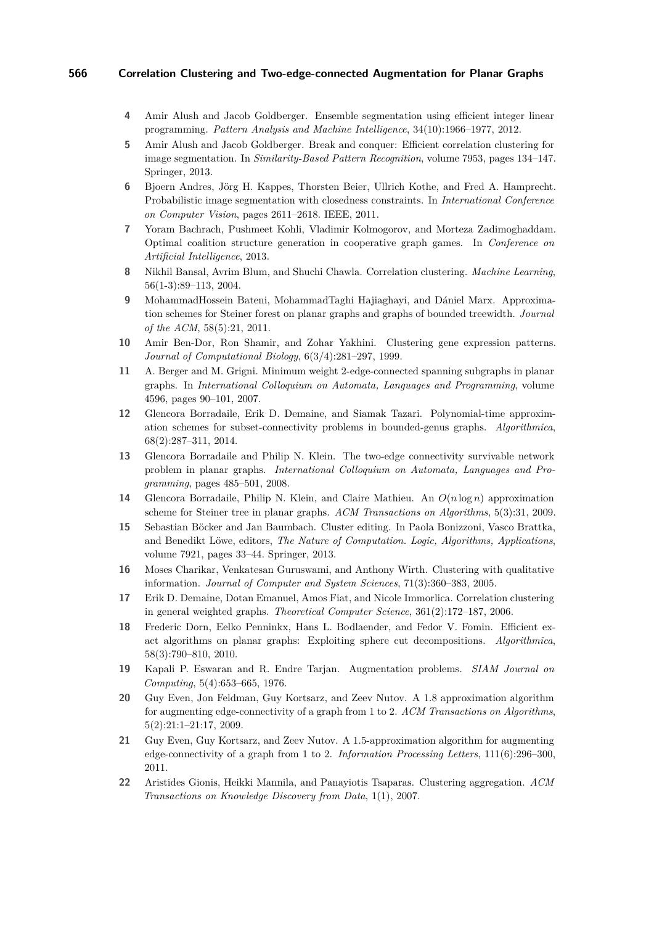- <span id="page-12-2"></span>**4** Amir Alush and Jacob Goldberger. Ensemble segmentation using efficient integer linear programming. *Pattern Analysis and Machine Intelligence*, 34(10):1966–1977, 2012.
- <span id="page-12-3"></span>**5** Amir Alush and Jacob Goldberger. Break and conquer: Efficient correlation clustering for image segmentation. In *Similarity-Based Pattern Recognition*, volume 7953, pages 134–147. Springer, 2013.
- <span id="page-12-4"></span>**6** Bjoern Andres, Jörg H. Kappes, Thorsten Beier, Ullrich Kothe, and Fred A. Hamprecht. Probabilistic image segmentation with closedness constraints. In *International Conference on Computer Vision*, pages 2611–2618. IEEE, 2011.
- <span id="page-12-5"></span>**7** Yoram Bachrach, Pushmeet Kohli, Vladimir Kolmogorov, and Morteza Zadimoghaddam. Optimal coalition structure generation in cooperative graph games. In *Conference on Artificial Intelligence*, 2013.
- <span id="page-12-1"></span>**8** Nikhil Bansal, Avrim Blum, and Shuchi Chawla. Correlation clustering. *Machine Learning*, 56(1-3):89–113, 2004.
- <span id="page-12-15"></span>**9** MohammadHossein Bateni, MohammadTaghi Hajiaghayi, and Dániel Marx. Approximation schemes for Steiner forest on planar graphs and graphs of bounded treewidth. *Journal of the ACM*, 58(5):21, 2011.
- <span id="page-12-0"></span>**10** Amir Ben-Dor, Ron Shamir, and Zohar Yakhini. Clustering gene expression patterns. *Journal of Computational Biology*, 6(3/4):281–297, 1999.
- <span id="page-12-10"></span>**11** A. Berger and M. Grigni. Minimum weight 2-edge-connected spanning subgraphs in planar graphs. In *International Colloquium on Automata, Languages and Programming*, volume 4596, pages 90–101, 2007.
- <span id="page-12-17"></span>**12** Glencora Borradaile, Erik D. Demaine, and Siamak Tazari. Polynomial-time approximation schemes for subset-connectivity problems in bounded-genus graphs. *Algorithmica*, 68(2):287–311, 2014.
- <span id="page-12-11"></span>**13** Glencora Borradaile and Philip N. Klein. The two-edge connectivity survivable network problem in planar graphs. *International Colloquium on Automata, Languages and Programming*, pages 485–501, 2008.
- <span id="page-12-16"></span>**14** Glencora Borradaile, Philip N. Klein, and Claire Mathieu. An *O*(*n* log *n*) approximation scheme for Steiner tree in planar graphs. *ACM Transactions on Algorithms*, 5(3):31, 2009.
- <span id="page-12-9"></span>**15** Sebastian Böcker and Jan Baumbach. Cluster editing. In Paola Bonizzoni, Vasco Brattka, and Benedikt Löwe, editors, *The Nature of Computation. Logic, Algorithms, Applications*, volume 7921, pages 33–44. Springer, 2013.
- <span id="page-12-7"></span>**16** Moses Charikar, Venkatesan Guruswami, and Anthony Wirth. Clustering with qualitative information. *Journal of Computer and System Sciences*, 71(3):360–383, 2005.
- <span id="page-12-6"></span>**17** Erik D. Demaine, Dotan Emanuel, Amos Fiat, and Nicole Immorlica. Correlation clustering in general weighted graphs. *Theoretical Computer Science*, 361(2):172–187, 2006.
- <span id="page-12-18"></span>**18** Frederic Dorn, Eelko Penninkx, Hans L. Bodlaender, and Fedor V. Fomin. Efficient exact algorithms on planar graphs: Exploiting sphere cut decompositions. *Algorithmica*, 58(3):790–810, 2010.
- <span id="page-12-14"></span>**19** Kapali P. Eswaran and R. Endre Tarjan. Augmentation problems. *SIAM Journal on Computing*, 5(4):653–665, 1976.
- <span id="page-12-12"></span>**20** Guy Even, Jon Feldman, Guy Kortsarz, and Zeev Nutov. A 1.8 approximation algorithm for augmenting edge-connectivity of a graph from 1 to 2. *ACM Transactions on Algorithms*, 5(2):21:1–21:17, 2009.
- <span id="page-12-13"></span>**21** Guy Even, Guy Kortsarz, and Zeev Nutov. A 1.5-approximation algorithm for augmenting edge-connectivity of a graph from 1 to 2. *Information Processing Letters*, 111(6):296–300, 2011.
- <span id="page-12-8"></span>**22** Aristides Gionis, Heikki Mannila, and Panayiotis Tsaparas. Clustering aggregation. *ACM Transactions on Knowledge Discovery from Data*, 1(1), 2007.